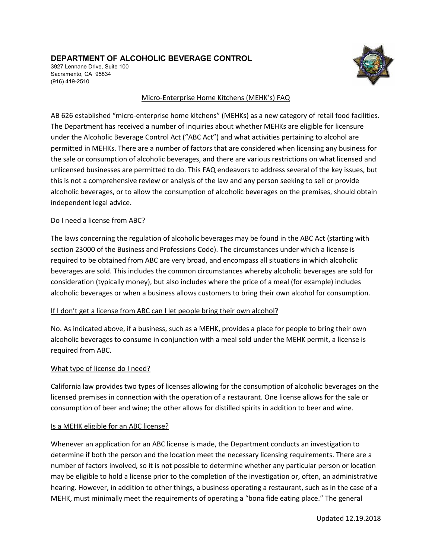## **DEPARTMENT OF ALCOHOLIC BEVERAGE CONTROL**

3927 Lennane Drive, Suite 100 Sacramento, CA 95834 (916) 419-2510



#### Micro-Enterprise Home Kitchens (MEHK's) FAQ

AB 626 established "micro-enterprise home kitchens" (MEHKs) as a new category of retail food facilities. The Department has received a number of inquiries about whether MEHKs are eligible for licensure under the Alcoholic Beverage Control Act ("ABC Act") and what activities pertaining to alcohol are permitted in MEHKs. There are a number of factors that are considered when licensing any business for the sale or consumption of alcoholic beverages, and there are various restrictions on what licensed and unlicensed businesses are permitted to do. This FAQ endeavors to address several of the key issues, but this is not a comprehensive review or analysis of the law and any person seeking to sell or provide alcoholic beverages, or to allow the consumption of alcoholic beverages on the premises, should obtain independent legal advice.

#### Do I need a license from ABC?

The laws concerning the regulation of alcoholic beverages may be found in the ABC Act (starting with section 23000 of the Business and Professions Code). The circumstances under which a license is required to be obtained from ABC are very broad, and encompass all situations in which alcoholic beverages are sold. This includes the common circumstances whereby alcoholic beverages are sold for consideration (typically money), but also includes where the price of a meal (for example) includes alcoholic beverages or when a business allows customers to bring their own alcohol for consumption.

## If I don't get a license from ABC can I let people bring their own alcohol?

No. As indicated above, if a business, such as a MEHK, provides a place for people to bring their own alcoholic beverages to consume in conjunction with a meal sold under the MEHK permit, a license is required from ABC.

#### What type of license do I need?

California law provides two types of licenses allowing for the consumption of alcoholic beverages on the licensed premises in connection with the operation of a restaurant. One license allows for the sale or consumption of beer and wine; the other allows for distilled spirits in addition to beer and wine.

#### Is a MEHK eligible for an ABC license?

Whenever an application for an ABC license is made, the Department conducts an investigation to determine if both the person and the location meet the necessary licensing requirements. There are a number of factors involved, so it is not possible to determine whether any particular person or location may be eligible to hold a license prior to the completion of the investigation or, often, an administrative hearing. However, in addition to other things, a business operating a restaurant, such as in the case of a MEHK, must minimally meet the requirements of operating a "bona fide eating place." The general